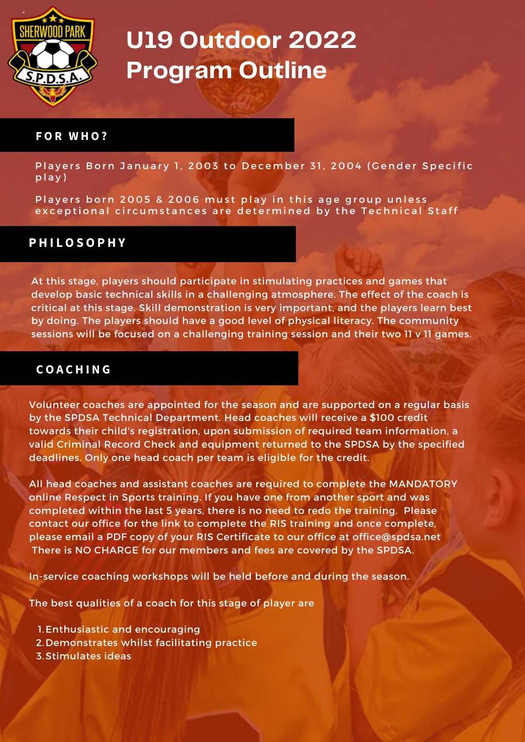

#### **F O R W H O ?**

Players Born January 1, 2003 to December 31, 2004 (Gender Specific p l a y )

Players born 2005 & 2006 must play in this age group unless exceptional circumstances are determined by the Technical Staff

### **P H I L O S O P H Y**

At this stage, players should participate in stimulating practices and games that develop basic technical skills in a challenging atmosphere. The effect of the coach is critical at this stage. Skill demonstration is very important, and the players learn best by doing. The players should have a good level of physical literacy. The community sessions will be focused on a challenging training session and their two 11 v 11 games.

### **C O A C H I N G**

Volunteer coaches are appointed for the season and are supported on a regular basis by the SPDSA Technical Department. Head coaches will receive a \$100 credit towards their child's registration, upon submission of required team information, a valid Criminal Record Check and equipment returned to the SPDSA by the specified deadlines. Only one head coach per team is eligible for the credit.

All head coaches and assistant coaches are required to complete the MANDATORY online Respect in Sports training. If you have one from another sport and was completed within the last 5 years, there is no need to redo the training. Please contact our office for the link to complete the RIS training and once complete, please email a PDF copy of your RIS Certificate to our office at [office@spdsa.net](mailto:office@spdsa.net) There is NO CHARGE for our members and fees are covered by the SPDSA.

In-service coaching workshops will be held before and during the season.

The best qualities of a coach for this stage of player are

- 1. Enthusiastic and encouraging
- 2. Demonstrates whilst facilitating practice
- 3. Stimulates ideas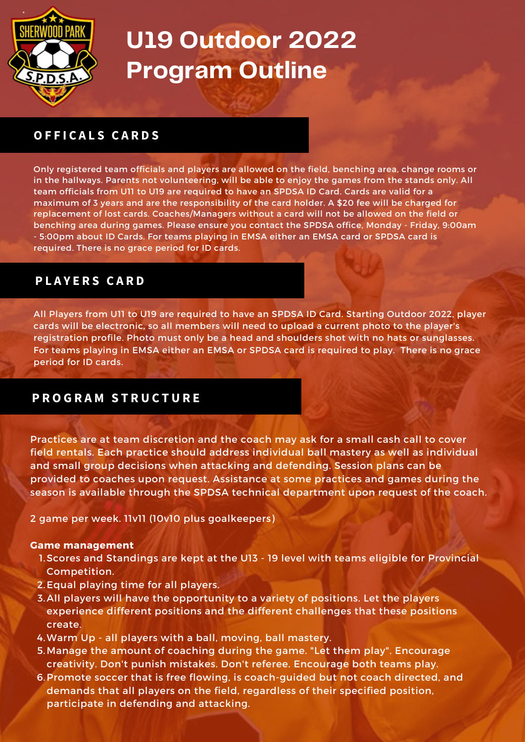

## **O F F I C A L S C A R D S**

Only registered team officials and players are allowed on the field, benching area, change rooms or in the hallways. Parents not volunteering, will be able to enjoy the games from the stands only. All team officials from U11 to U19 are required to have an SPDSA ID Card. Cards are valid for a maximum of 3 years and are the responsibility of the card holder. A \$20 fee will be charged for replacement of lost cards. Coaches/Managers without a card will not be allowed on the field or benching area during games. Please ensure you contact the SPDSA office, Monday - Friday, 9:00am - 5:00pm about ID Cards. For teams playing in EMSA either an EMSA card or SPDSA card is required. There is no grace period for ID cards.

## **P L A Y E R S C A R D**

All Players from U11 to U19 are required to have an SPDSA ID Card. Starting Outdoor 2022, player cards will be electronic, so all members will need to upload a current photo to the player's registration profile. Photo must only be a head and shoulders shot with no hats or sunglasses. For teams playing in EMSA either an EMSA or SPDSA card is required to play. There is no grace period for ID cards.

## **P R O G R A M S T R U C T U R E**

Practices are at team discretion and the coach may ask for a small cash call to cover field rentals. Each practice should address individual ball mastery as well as individual and small group decisions when attacking and defending. Session plans can be provided to coaches upon request. Assistance at some practices and games during the season is available through the SPDSA technical department upon request of the coach.

2 game per week. 11v11 (10v10 plus goalkeepers)

#### **Game management**

- 1. Scores and Standings are kept at the U13 19 level with teams eligible for Provincial Competition.
- 2. Equal playing time for all players.
- 3. All players will have the opportunity to a variety of positions. Let the players experience different positions and the different challenges that these positions create.
- Warm Up all players with a ball, moving, ball mastery. 4.
- 5. Manage the amount of coaching during the game. "Let them play". Encourage creativity. Don't punish mistakes. Don't referee. Encourage both teams play.
- 6. Promote soccer that is free flowing, is coach-guided but not coach directed, and demands that all players on the field, regardless of their specified position, participate in defending and attacking.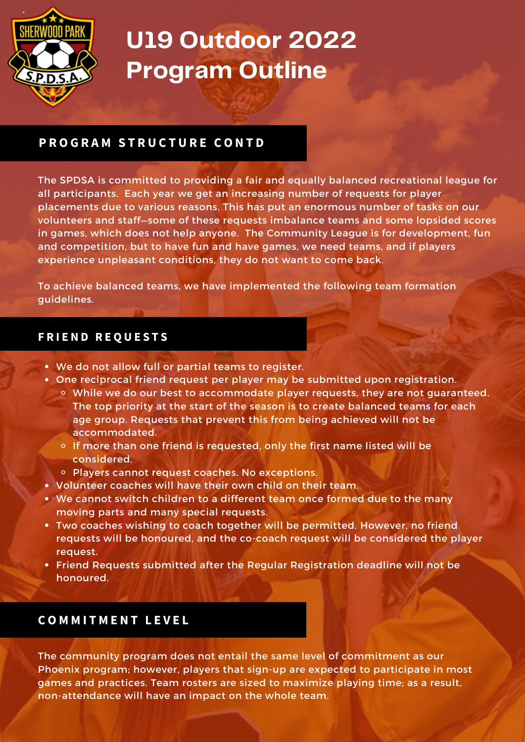

## **P R O G R A M S T R U C T U R E C O N T D**

The SPDSA is committed to providing a fair and equally balanced recreational league for all participants. Each year we get an increasing number of requests for player placements due to various reasons. This has put an enormous number of tasks on our volunteers and staff—some of these requests imbalance teams and some lopsided scores in games, which does not help anyone. The Community League is for development, fun and competition, but to have fun and have games, we need teams, and if players experience unpleasant conditions, they do not want to come back.

To achieve balanced teams, we have implemented the following team formation guidelines.

### **F R I E N D R E Q U E S T S**

- We do not allow full or partial teams to register.
- One reciprocal friend request per player may be submitted upon registration.
	- While we do our best to accommodate player requests, they are not guaranteed. The top priority at the start of the season is to create balanced teams for each age group. Requests that prevent this from being achieved will not be accommodated.
	- $\circ$  If more than one friend is requested, only the first name listed will be considered.
	- o Players cannot request coaches. No exceptions.
- Volunteer coaches will have their own child on their team.
- We cannot switch children to a different team once formed due to the many moving parts and many special requests.
- Two coaches wishing to coach together will be permitted. However, no friend requests will be honoured, and the co-coach request will be considered the player request.
- Friend Requests submitted after the Regular Registration deadline will not be honoured.

## **C O M M I T M E N T L E V E L**

The community program does not entail the same level of commitment as our Phoenix program; however, players that sign-up are expected to participate in most games and practices. Team rosters are sized to maximize playing time; as a result, non-attendance will have an impact on the whole team.